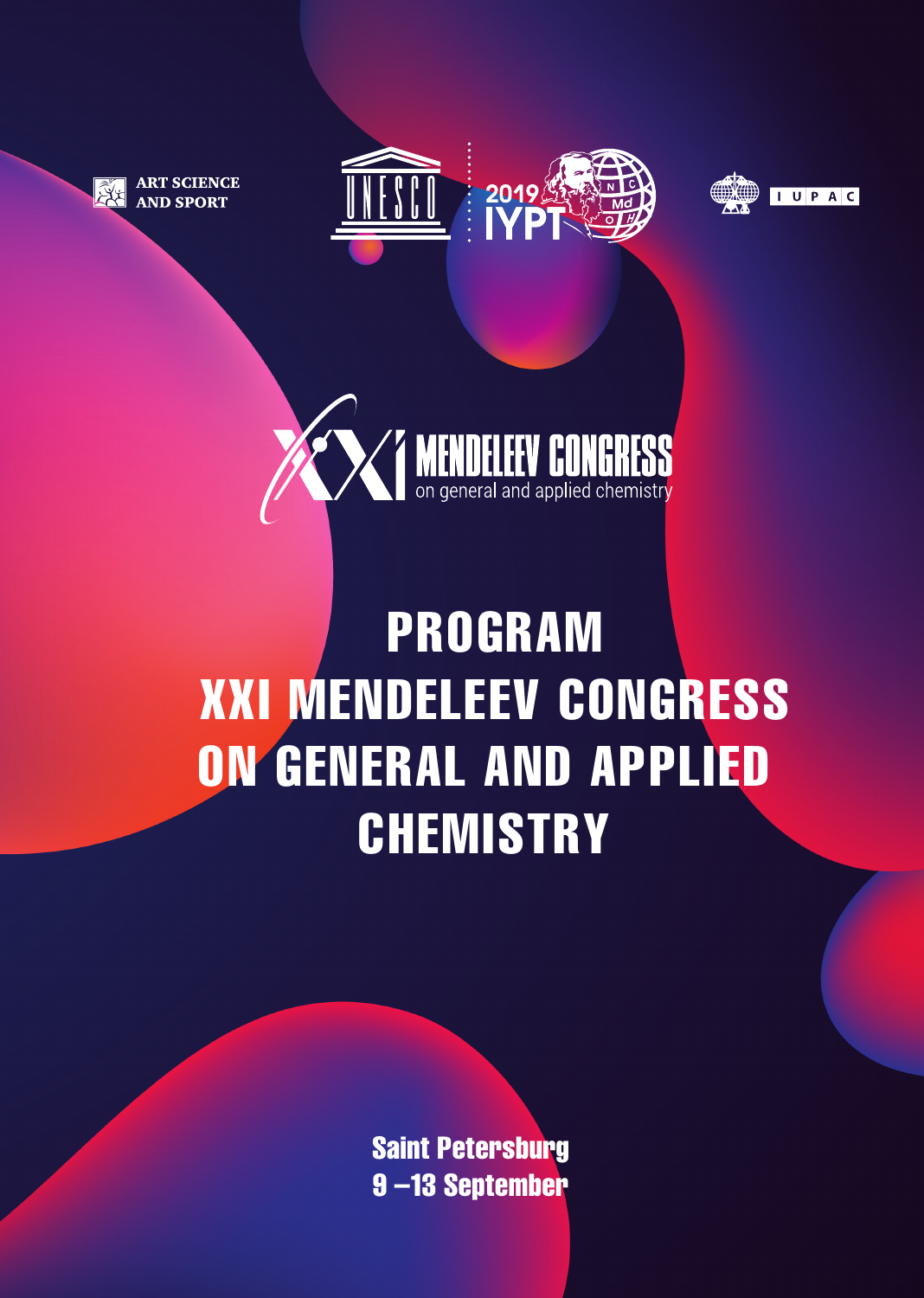

**ART SCIENCE AND SPORT** 







## PROGRAM XXI MENDELEEV CONGRESS ON GENERAL AND APPLIED **CHEMISTRY**

Saint Petersburg 9 –13 September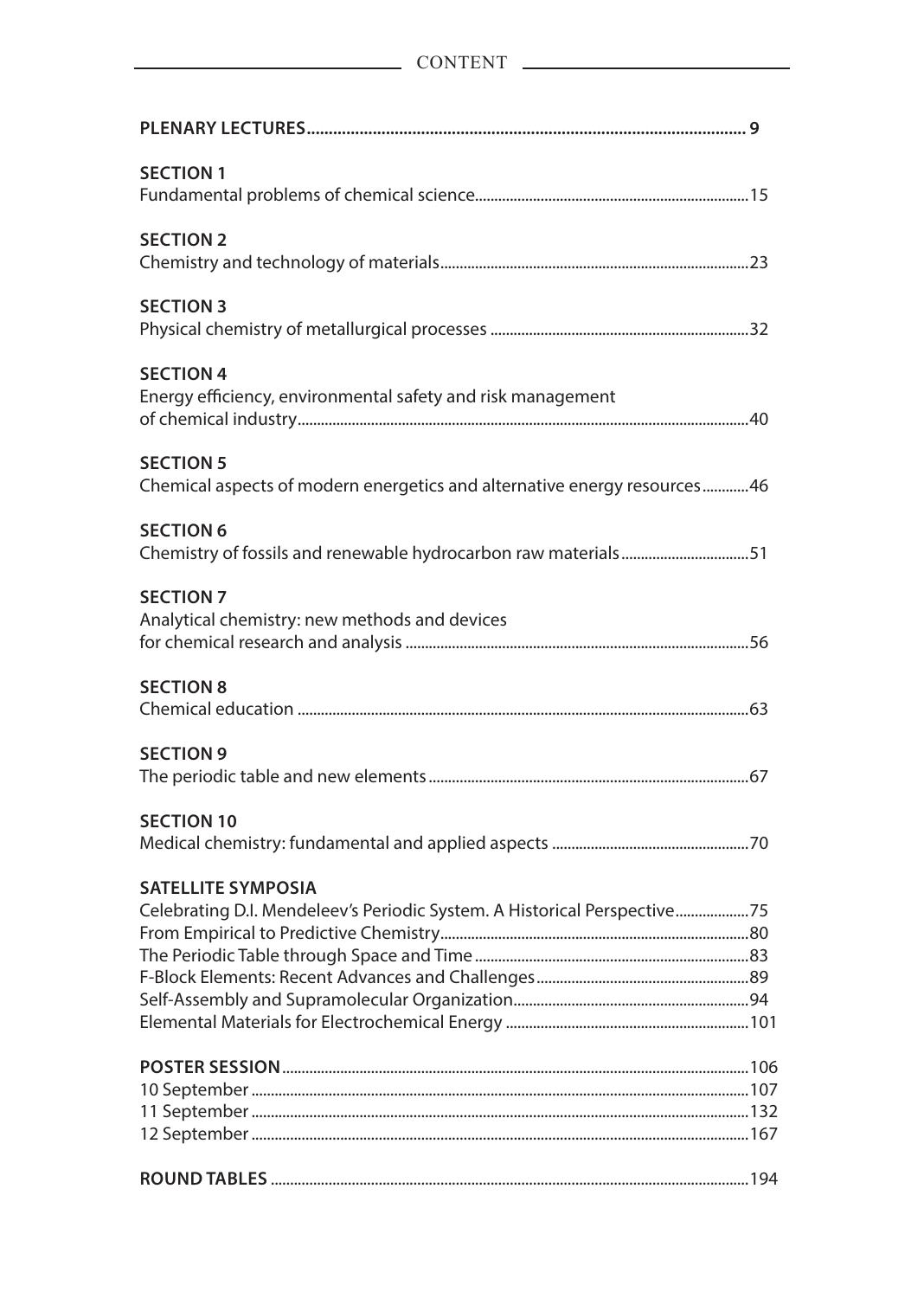| <b>SECTION 1</b>                                                                                      |  |
|-------------------------------------------------------------------------------------------------------|--|
| <b>SECTION 2</b>                                                                                      |  |
| <b>SECTION 3</b>                                                                                      |  |
| <b>SECTION 4</b><br>Energy efficiency, environmental safety and risk management                       |  |
| <b>SECTION 5</b><br>Chemical aspects of modern energetics and alternative energy resources46          |  |
| <b>SECTION 6</b><br>Chemistry of fossils and renewable hydrocarbon raw materials51                    |  |
| <b>SECTION 7</b><br>Analytical chemistry: new methods and devices                                     |  |
| <b>SECTION 8</b>                                                                                      |  |
| <b>SECTION 9</b>                                                                                      |  |
| <b>SECTION 10</b>                                                                                     |  |
| <b>SATELLITE SYMPOSIA</b><br>Celebrating D.I. Mendeleev's Periodic System. A Historical Perspective75 |  |
|                                                                                                       |  |
|                                                                                                       |  |
|                                                                                                       |  |
|                                                                                                       |  |